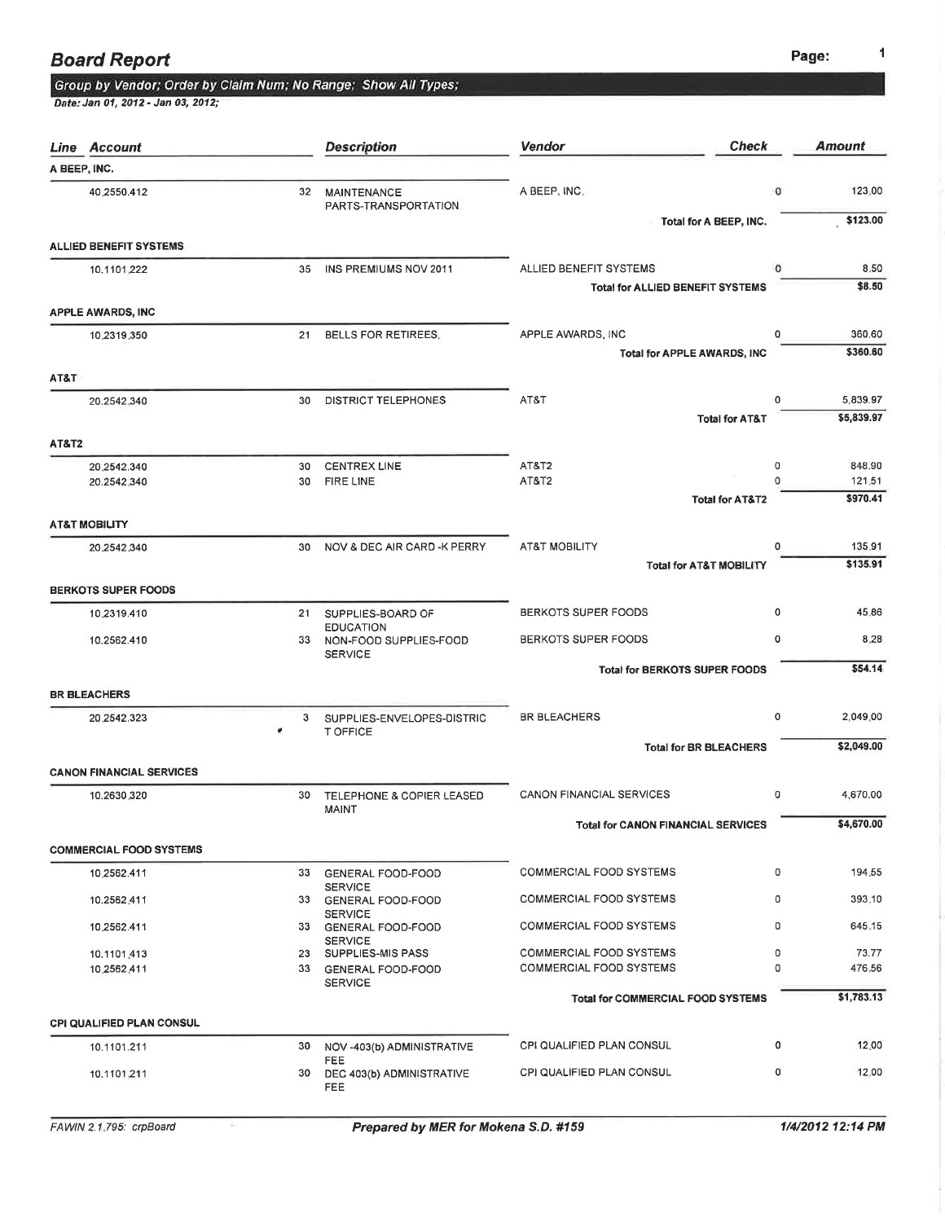# Group by Vendor; Order by Claim Num; No Range; Show All Types;<br>Date: Jan 01, 2012 - Jan 03, 2012;

|                  | Line Account                     |          | <b>Description</b>                                   | Vendor                                           | <b>Check</b>                       | Amount             |
|------------------|----------------------------------|----------|------------------------------------------------------|--------------------------------------------------|------------------------------------|--------------------|
|                  | A BEEP, INC.                     |          |                                                      |                                                  |                                    |                    |
|                  | 40,2550.412                      | 32       | <b>MAINTENANCE</b><br>PARTS-TRANSPORTATION           | A BEEP, INC.                                     | 0                                  | 123.00<br>\$123.00 |
|                  | <b>ALLIED BENEFIT SYSTEMS</b>    |          |                                                      |                                                  | Total for A BEEP, INC.             |                    |
|                  | 10.1101.222                      | 35       | INS PREMIUMS NOV 2011                                | ALLIED BENEFIT SYSTEMS                           | 0                                  | 8.50               |
|                  |                                  |          |                                                      | <b>Total for ALLIED BENEFIT SYSTEMS</b>          |                                    | \$8.50             |
|                  | <b>APPLE AWARDS, INC</b>         |          |                                                      |                                                  | 0                                  | 360.60             |
|                  | 10.2319.350                      | 21       | BELLS FOR RETIREES,                                  | APPLE AWARDS, INC<br>Total for APPLE AWARDS, INC |                                    | \$360.60           |
| AT&T             |                                  |          |                                                      |                                                  |                                    |                    |
|                  | 20.2542.340                      | 30       | DISTRICT TELEPHONES                                  | AT&T                                             | 0                                  | 5,839.97           |
|                  |                                  |          |                                                      |                                                  | <b>Total for AT&amp;T</b>          | \$5,839.97         |
| <b>AT&amp;T2</b> |                                  |          |                                                      |                                                  |                                    |                    |
|                  | 20.2542.340                      | 30<br>30 | <b>CENTREX LINE</b><br><b>FIRE LINE</b>              | AT&T <sub>2</sub><br>AT&T2                       | 0<br>$\Omega$                      | 848.90<br>121.51   |
|                  | 20.2542.340                      |          |                                                      |                                                  | <b>Total for AT&amp;T2</b>         | \$970.41           |
|                  | <b>AT&amp;T MOBILITY</b>         |          |                                                      |                                                  |                                    |                    |
|                  | 20.2542.340                      | 30       | NOV & DEC AIR CARD -K PERRY                          | <b>AT&amp;T MOBILITY</b>                         | 0                                  | 135.91             |
|                  |                                  |          |                                                      |                                                  | <b>Total for AT&amp;T MOBILITY</b> | \$135.91           |
|                  | <b>BERKOTS SUPER FOODS</b>       |          |                                                      |                                                  |                                    |                    |
|                  | 10.2319.410                      | 21       | SUPPLIES-BOARD OF<br><b>EDUCATION</b>                | <b>BERKOTS SUPER FOODS</b>                       | 0                                  | 45.86              |
|                  | 10.2562.410                      | 33       | NON-FOOD SUPPLIES-FOOD<br><b>SERVICE</b>             | BERKOTS SUPER FOODS                              | 0                                  | 8.28               |
|                  |                                  |          |                                                      | <b>Total for BERKOTS SUPER FOODS</b>             |                                    | \$54.14            |
|                  | <b>BR BLEACHERS</b>              |          |                                                      |                                                  |                                    |                    |
|                  | 20.2542.323                      | 3        | SUPPLIES-ENVELOPES-DISTRIC<br>T OFFICE               | <b>BR BLEACHERS</b>                              | 0                                  | 2,049.00           |
|                  |                                  |          |                                                      |                                                  | <b>Total for BR BLEACHERS</b>      | \$2,049.00         |
|                  | <b>CANON FINANCIAL SERVICES</b>  |          |                                                      |                                                  |                                    |                    |
|                  | 10.2630.320                      | 30       | <b>TELEPHONE &amp; COPIER LEASED</b><br><b>MAINT</b> | <b>CANON FINANCIAL SERVICES</b>                  | o                                  | 4,670.00           |
|                  |                                  |          |                                                      | <b>Total for CANON FINANCIAL SERVICES</b>        |                                    | \$4,670.00         |
|                  | <b>COMMERCIAL FOOD SYSTEMS</b>   |          |                                                      |                                                  |                                    |                    |
|                  | 10,2562.411                      | 33       | <b>GENERAL FOOD-FOOD</b><br><b>SERVICE</b>           | COMMERCIAL FOOD SYSTEMS                          | 0                                  | 194.55             |
|                  | 10.2562,411                      | 33       | GENERAL FOOD-FOOD<br><b>SERVICE</b>                  | COMMERCIAL FOOD SYSTEMS                          | 0                                  | 393.10             |
|                  | 10.2562.411                      | 33       | <b>GENERAL FOOD-FOOD</b><br><b>SERVICE</b>           | <b>COMMERCIAL FOOD SYSTEMS</b>                   | 0                                  | 645.15             |
|                  | 10.1101.413                      | 23       | SUPPLIES-MIS PASS                                    | COMMERCIAL FOOD SYSTEMS                          | 0                                  | 73.77              |
|                  | 10.2562.411                      |          | 33 GENERAL FOOD-FOOD<br><b>SERVICE</b>               | <b>COMMERCIAL FOOD SYSTEMS</b>                   | 0                                  | 476.56             |
|                  | <b>CPI QUALIFIED PLAN CONSUL</b> |          |                                                      | <b>Total for COMMERCIAL FOOD SYSTEMS</b>         |                                    | \$1,783.13         |
|                  |                                  |          |                                                      |                                                  | 0                                  | 12.00              |
|                  | 10.1101.211                      | 30       | NOV -403(b) ADMINISTRATIVE<br><b>FEE</b>             | <b>CPI QUALIFIED PLAN CONSUL</b>                 |                                    |                    |
|                  | 10.1101.211                      | 30       | DEC 403(b) ADMINISTRATIVE<br>FEE                     | CPI QUALIFIED PLAN CONSUL                        | 0                                  | 12.00              |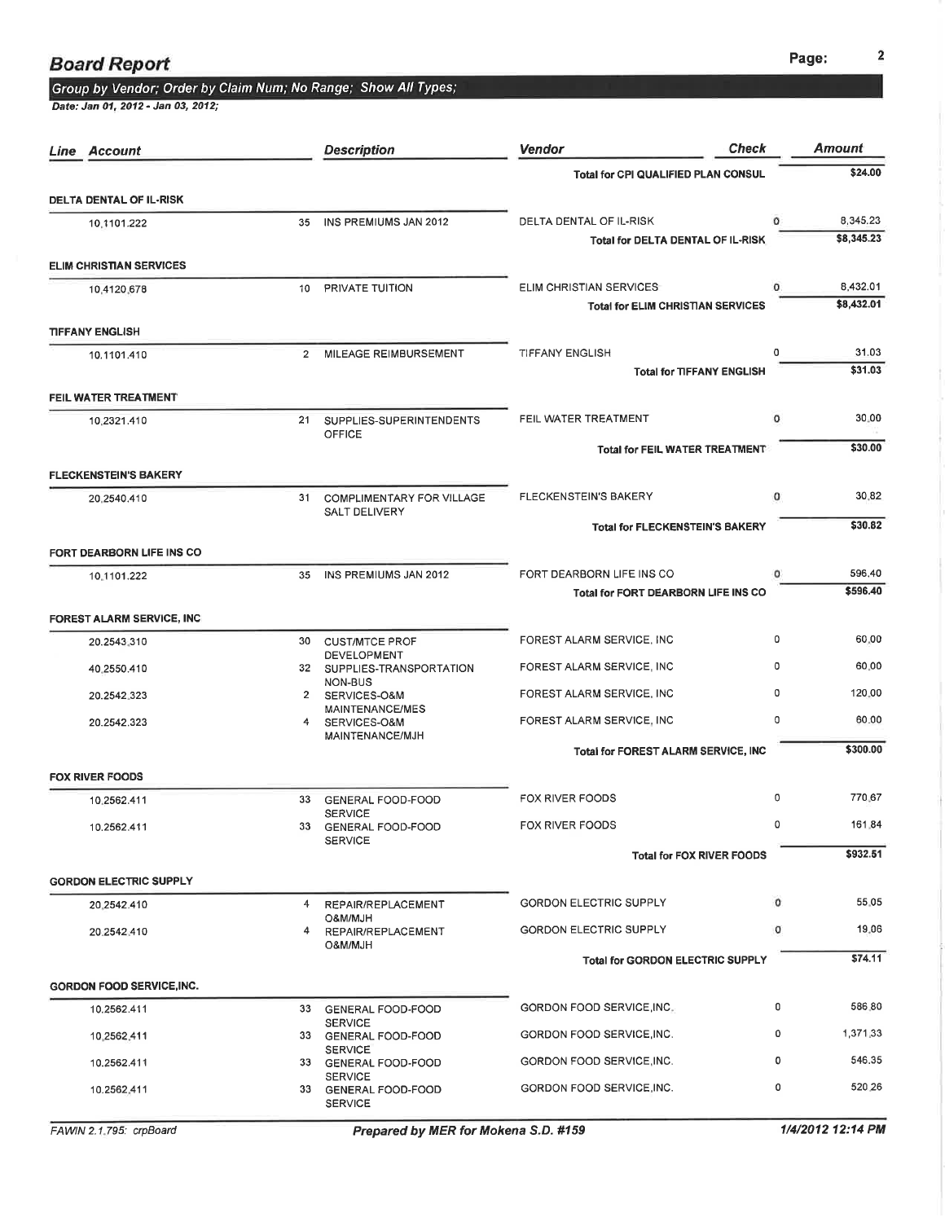## Group by Vendor; Order by Claim Num; No Range; Show All Types;<br>Date: Jan 01, 2012 - Jan 03, 2012;

| Line Account                     |                | <b>Description</b>                                       | <b>Check</b><br><b>Vendor</b>              |          | Amount                 |
|----------------------------------|----------------|----------------------------------------------------------|--------------------------------------------|----------|------------------------|
|                                  |                |                                                          | Total for CPI QUALIFIED PLAN CONSUL        |          | \$24.00                |
| <b>DELTA DENTAL OF IL-RISK</b>   |                |                                                          |                                            |          |                        |
| 10,1101.222                      | 35             | INS PREMIUMS JAN 2012                                    | DELTA DENTAL OF IL-RISK                    | 0        | 8.345.23<br>\$8,345.23 |
| <b>ELIM CHRISTIAN SERVICES</b>   |                |                                                          | Total for DELTA DENTAL OF IL-RISK          |          |                        |
| 10.4120.678                      | 10             | PRIVATE TUITION                                          | ELIM CHRISTIAN SERVICES                    | $\Omega$ | 8,432.01               |
|                                  |                |                                                          | <b>Total for ELIM CHRISTIAN SERVICES</b>   |          | \$8,432.01             |
| <b>TIFFANY ENGLISH</b>           |                |                                                          |                                            |          |                        |
| 10.1101.410                      | $\overline{2}$ | MILEAGE REIMBURSEMENT                                    | <b>TIFFANY ENGLISH</b>                     | 0        | 31.03                  |
|                                  |                |                                                          | <b>Total for TIFFANY ENGLISH</b>           |          | \$31.03                |
| FEIL WATER TREATMENT             |                |                                                          |                                            |          |                        |
| 10.2321.410                      | 21             | SUPPLIES-SUPERINTENDENTS<br>OFFICE                       | FEIL WATER TREATMENT                       | 0        | 30.00                  |
|                                  |                |                                                          | <b>Total for FEIL WATER TREATMENT</b>      |          | \$30.00                |
| <b>FLECKENSTEIN'S BAKERY</b>     |                |                                                          |                                            |          |                        |
| 20.2540.410                      |                | 31 COMPLIMENTARY FOR VILLAGE                             | FLECKENSTEIN'S BAKERY                      | ٥        | 30.82                  |
|                                  |                | <b>SALT DELIVERY</b>                                     | <b>Total for FLECKENSTEIN'S BAKERY</b>     |          | \$30.82                |
| FORT DEARBORN LIFE INS CO        |                |                                                          |                                            |          |                        |
| 10.1101.222                      | 35             | INS PREMIUMS JAN 2012                                    | FORT DEARBORN LIFE INS CO                  | o        | 596.40                 |
|                                  |                |                                                          | Total for FORT DEARBORN LIFE INS CO        |          | \$596.40               |
| FOREST ALARM SERVICE, INC        |                |                                                          |                                            |          |                        |
| 20.2543.310                      | 30             | <b>CUST/MTCE PROF</b>                                    | FOREST ALARM SERVICE, INC                  | 0        | 60.00                  |
| 40,2550.410                      |                | <b>DEVELOPMENT</b><br>32 SUPPLIES-TRANSPORTATION         | FOREST ALARM SERVICE, INC                  | $\Omega$ | 60.00                  |
| 20.2542.323                      |                | NON-BUS<br>2 SERVICES-O&M                                | FOREST ALARM SERVICE, INC                  | 0        | 120.00                 |
| 20.2542.323                      | 4              | MAINTENANCE/MES<br>SERVICES-O&M                          | FOREST ALARM SERVICE, INC                  | 0        | 60.00                  |
|                                  |                | MAINTENANCE/MJH                                          | <b>Total for FOREST ALARM SERVICE, INC</b> |          | \$300.00               |
| <b>FOX RIVER FOODS</b>           |                |                                                          |                                            |          |                        |
| 10.2562.411                      | 33             | <b>GENERAL FOOD-FOOD</b>                                 | FOX RIVER FOODS                            | 0        | 770.67                 |
| 10.2562.411                      |                | <b>SERVICE</b><br>33 GENERAL FOOD-FOOD                   | FOX RIVER FOODS                            | 0        | 161.84                 |
|                                  |                | <b>SERVICE</b>                                           | <b>Total for FOX RIVER FOODS</b>           |          | \$932.51               |
| <b>GORDON ELECTRIC SUPPLY</b>    |                |                                                          |                                            |          |                        |
| 20,2542.410                      |                | 4 REPAIR/REPLACEMENT                                     | <b>GORDON ELECTRIC SUPPLY</b>              | 0        | 55.05                  |
|                                  |                | O&M/MJH                                                  | <b>GORDON ELECTRIC SUPPLY</b>              | 0        | 19.06                  |
| 20.2542.410                      | 4              | REPAIR/REPLACEMENT<br><b>HLM/MJD</b>                     |                                            |          |                        |
|                                  |                |                                                          | <b>Total for GORDON ELECTRIC SUPPLY</b>    |          | \$74.11                |
| <b>GORDON FOOD SERVICE, INC.</b> |                |                                                          |                                            |          |                        |
| 10.2562.411                      |                | 33 GENERAL FOOD-FOOD<br><b>SERVICE</b>                   | GORDON FOOD SERVICE, INC.                  | 0        | 586.80                 |
| 10,2562.411                      |                | 33 GENERAL FOOD-FOOD<br><b>SERVICE</b>                   | GORDON FOOD SERVICE, INC.                  | 0        | 1,371.33               |
| 10.2562.411                      |                | 33 GENERAL FOOD-FOOD                                     | GORDON FOOD SERVICE, INC.                  | 0        | 546.35                 |
| 10.2562.411                      |                | <b>SERVICE</b><br>33 GENERAL FOOD-FOOD<br><b>SERVICE</b> | GORDON FOOD SERVICE, INC.                  | 0        | 520.26                 |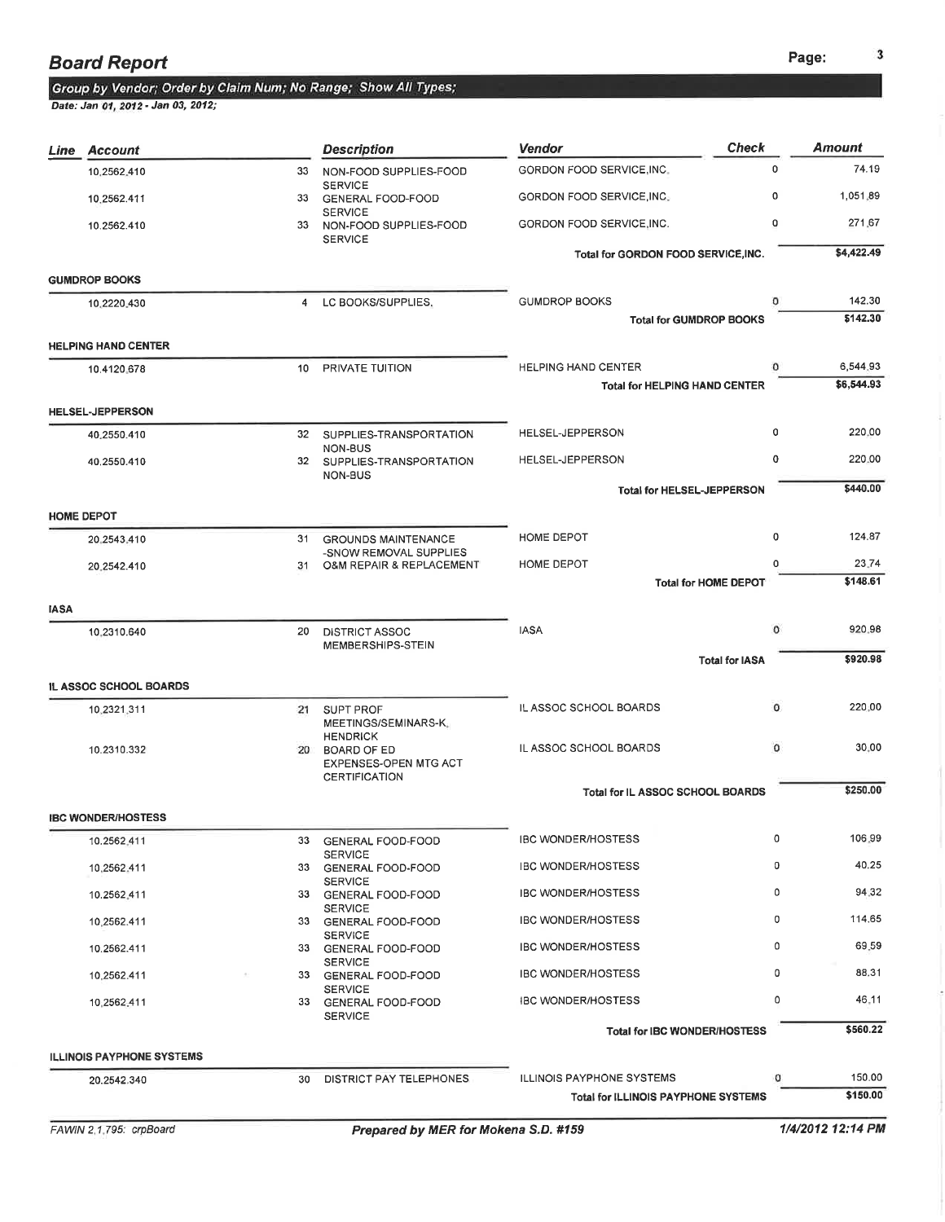### **Board Report**

## Group by Vendor; Order by Claim Num; No Range; Show All Types;<br>Date: Jan 01, 2012 - Jan 03, 2012;

| Line        | Account                          |                 | <b>Description</b>                                                 | <b>Vendor</b>                                               | <b>Check</b>                   | <b>Amount</b>          |
|-------------|----------------------------------|-----------------|--------------------------------------------------------------------|-------------------------------------------------------------|--------------------------------|------------------------|
|             | 10,2562,410                      | 33              | NON-FOOD SUPPLIES-FOOD                                             | GORDON FOOD SERVICE, INC.                                   | $\Omega$                       | 74.19                  |
|             | 10.2562.411                      | 33              | <b>SERVICE</b><br><b>GENERAL FOOD-FOOD</b>                         | GORDON FOOD SERVICE, INC.                                   | $\Omega$                       | 1,051,89               |
|             | 10.2562.410                      | 33              | <b>SERVICE</b><br>NON-FOOD SUPPLIES-FOOD<br><b>SERVICE</b>         | GORDON FOOD SERVICE, INC.                                   | 0                              | 271.67                 |
|             |                                  |                 |                                                                    | Total for GORDON FOOD SERVICE, INC.                         |                                | \$4,422.49             |
|             | <b>GUMDROP BOOKS</b>             |                 |                                                                    |                                                             |                                |                        |
|             | 10.2220.430                      | $\overline{4}$  | LC BOOKS/SUPPLIES,                                                 | <b>GUMDROP BOOKS</b>                                        |                                | 142.30                 |
|             |                                  |                 |                                                                    |                                                             | <b>Total for GUMDROP BOOKS</b> | \$142.30               |
|             | <b>HELPING HAND CENTER</b>       |                 |                                                                    |                                                             | $\circ$                        |                        |
|             | 10.4120.678                      | 10 <sup>1</sup> | PRIVATE TUITION                                                    | HELPING HAND CENTER<br><b>Total for HELPING HAND CENTER</b> |                                | 6,544.93<br>\$6,544.93 |
|             | <b>HELSEL-JEPPERSON</b>          |                 |                                                                    |                                                             |                                |                        |
|             | 40.2550.410                      |                 | 32 SUPPLIES-TRANSPORTATION                                         | HELSEL-JEPPERSON                                            | 0                              | 220.00                 |
|             | 40.2550.410                      |                 | NON-BUS<br>32 SUPPLIES-TRANSPORTATION                              | HELSEL-JEPPERSON                                            | 0                              | 220.00                 |
|             |                                  |                 | NON-BUS                                                            |                                                             |                                | \$440.00               |
|             | <b>HOME DEPOT</b>                |                 |                                                                    | <b>Total for HELSEL-JEPPERSON</b>                           |                                |                        |
|             | 20.2543.410                      | 31              | <b>GROUNDS MAINTENANCE</b>                                         | HOME DEPOT                                                  | 0                              | 124.87                 |
|             |                                  |                 | -SNOW REMOVAL SUPPLIES                                             |                                                             | 0                              | 23.74                  |
|             | 20.2542.410                      | 31              | O&M REPAIR & REPLACEMENT                                           | HOME DEPOT                                                  | <b>Total for HOME DEPOT</b>    | \$148.61               |
| <b>IASA</b> |                                  |                 |                                                                    |                                                             |                                |                        |
|             | 10.2310.640                      | 20              | <b>DISTRICT ASSOC</b><br>MEMBERSHIPS-STEIN                         | <b>IASA</b>                                                 | 0                              | 920.98                 |
|             |                                  |                 |                                                                    | <b>Total for IASA</b>                                       |                                | \$920.98               |
|             | IL ASSOC SCHOOL BOARDS           |                 |                                                                    |                                                             |                                |                        |
|             | 10.2321.311                      | 21              | <b>SUPT PROF</b><br>MEETINGS/SEMINARS-K.                           | IL ASSOC SCHOOL BOARDS                                      | 0                              | 220.00                 |
|             | 10.2310.332                      |                 | <b>HENDRICK</b><br>20 BOARD OF ED<br><b>EXPENSES-OPEN MTG ACT</b>  | IL ASSOC SCHOOL BOARDS                                      | $\circ$                        | 30,00                  |
|             |                                  |                 | CERTIFICATION                                                      |                                                             |                                | \$250.00               |
|             | <b>IBC WONDER/HOSTESS</b>        |                 |                                                                    | Total for IL ASSOC SCHOOL BOARDS                            |                                |                        |
|             | 10.2562,411                      | 33              | <b>GENERAL FOOD-FOOD</b>                                           | <b>IBC WONDER/HOSTESS</b>                                   | 0                              | 106.99                 |
|             |                                  | 33              | <b>SERVICE</b>                                                     | <b>IBC WONDER/HOSTESS</b>                                   | 0                              | 40.25                  |
|             | 10,2562.411<br>10.2562.411       |                 | <b>GENERAL FOOD-FOOD</b><br><b>SERVICE</b><br>33 GENERAL FOOD-FOOD | <b>IBC WONDER/HOSTESS</b>                                   | 0                              | 94.32                  |
|             |                                  |                 | <b>SERVICE</b>                                                     | <b>IBC WONDER/HOSTESS</b>                                   | 0                              | 114.65                 |
|             | 10,2562.411                      |                 | 33 GENERAL FOOD-FOOD<br><b>SERVICE</b>                             |                                                             |                                |                        |
|             | 10.2562.411                      |                 | 33 GENERAL FOOD-FOOD<br><b>SERVICE</b>                             | <b>IBC WONDER/HOSTESS</b>                                   | 0                              | 69.59                  |
|             | 10.2562.411                      |                 | 33 GENERAL FOOD-FOOD<br><b>SERVICE</b>                             | <b>IBC WONDER/HOSTESS</b>                                   | 0                              | 88.31                  |
|             | 10,2562.411                      |                 | 33 GENERAL FOOD-FOOD<br><b>SERVICE</b>                             | <b>IBC WONDER/HOSTESS</b>                                   | 0                              | 46.11                  |
|             |                                  |                 |                                                                    | Total for IBC WONDER/HOSTESS                                |                                | \$560.22               |
|             | <b>ILLINOIS PAYPHONE SYSTEMS</b> |                 |                                                                    |                                                             |                                |                        |
|             | 20.2542.340                      | 30              | DISTRICT PAY TELEPHONES                                            | ILLINOIS PAYPHONE SYSTEMS                                   | ٥                              | 150.00                 |
|             |                                  |                 |                                                                    | Total for ILLINOIS PAYPHONE SYSTEMS                         |                                | \$150.00               |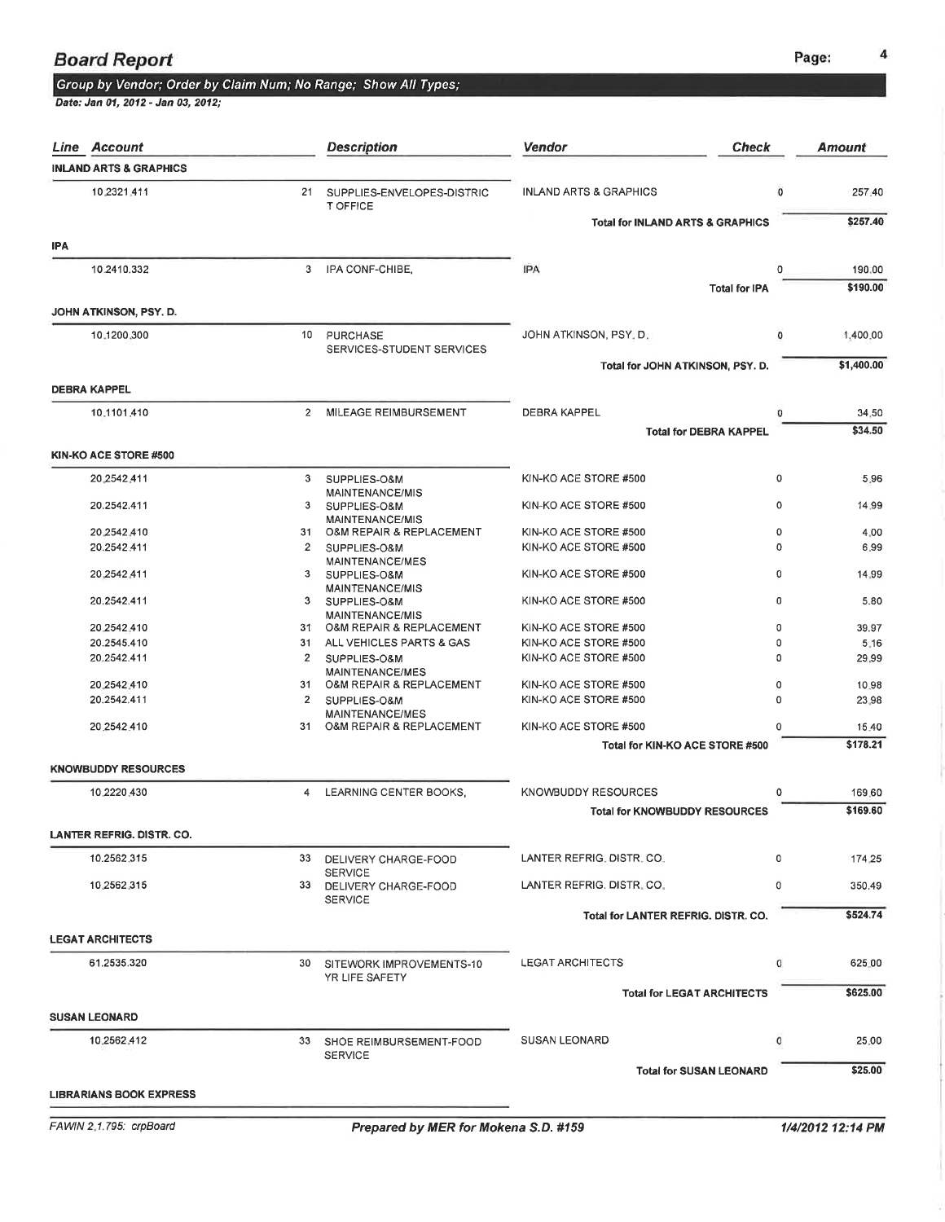## Group by Vendor; Order by Claim Num; No Range; Show All Types;

|            | Line Account                      |                | <b>Description</b>                                 | <b>Check</b><br><b>Vendor</b>               |          | <b>Amount</b> |
|------------|-----------------------------------|----------------|----------------------------------------------------|---------------------------------------------|----------|---------------|
|            | <b>INLAND ARTS &amp; GRAPHICS</b> |                |                                                    |                                             |          |               |
|            | 10 2321 411                       | 21             | SUPPLIES-ENVELOPES-DISTRIC<br>T OFFICE             | <b>INLAND ARTS &amp; GRAPHICS</b>           | 0        | 257.40        |
|            |                                   |                |                                                    | <b>Total for INLAND ARTS &amp; GRAPHICS</b> |          | \$257.40      |
| <b>IPA</b> |                                   |                |                                                    |                                             |          |               |
|            | 10.2410.332                       | 3.             | IPA CONF-CHIBE,                                    | <b>IPA</b>                                  | $\Omega$ | 190.00        |
|            | JOHN ATKINSON, PSY. D.            |                |                                                    | <b>Total for IPA</b>                        |          | \$190.00      |
|            |                                   |                |                                                    |                                             |          |               |
|            | 10.1200.300                       | 10             | PURCHASE<br>SERVICES-STUDENT SERVICES              | JOHN ATKINSON, PSY, D.                      | 0        | 1,400.00      |
|            |                                   |                |                                                    | Total for JOHN ATKINSON, PSY. D.            |          | \$1,400.00    |
|            | <b>DEBRA KAPPEL</b>               |                |                                                    |                                             |          |               |
|            | 10.1101.410                       | $\overline{2}$ | MILEAGE REIMBURSEMENT                              | <b>DEBRA KAPPEL</b>                         | 0        | 34.50         |
|            |                                   |                |                                                    | <b>Total for DEBRA KAPPEL</b>               |          | \$34.50       |
|            | KIN-KO ACE STORE #500             |                |                                                    |                                             |          |               |
|            | 20,2542,411                       | 3              | SUPPLIES-O&M                                       | KIN-KO ACE STORE #500                       | 0        | 5.96          |
|            | 20.2542.411                       | 3              | MAINTENANCE/MIS<br>SUPPLIES-O&M                    | KIN-KO ACE STORE #500                       | 0        | 14.99         |
|            | 20,2542,410                       | 31             | <b>MAINTENANCE/MIS</b><br>O&M REPAIR & REPLACEMENT | KIN-KO ACE STORE #500                       | 0        | 4.00          |
|            | 20.2542.411                       | 2              | SUPPLIES-O&M                                       | KIN-KO ACE STORE #500                       | $\circ$  | 6.99          |
|            | 20,2542,411                       | 3              | MAINTENANCE/MES<br>SUPPLIES-O&M                    | KIN-KO ACE STORE #500                       | 0        | 14.99         |
|            |                                   |                | MAINTENANCE/MIS                                    |                                             |          |               |
|            | 20.2542.411                       | 3              | SUPPLIES-O&M<br>MAINTENANCE/MIS                    | KIN-KO ACE STORE #500                       | 0        | 5.80          |
|            | 20.2542.410                       |                | 31 O&M REPAIR & REPLACEMENT                        | KIN-KO ACE STORE #500                       | 0        | 39.97         |
|            | 20.2545.410                       | 31             | ALL VEHICLES PARTS & GAS                           | KIN-KO ACE STORE #500                       | 0        | 5.16          |
|            | 20.2542.411                       | $\overline{2}$ | SUPPLIES-O&M<br>MAINTENANCE/MES                    | KIN-KO ACE STORE #500                       | 0        | 29.99         |
|            | 20,2542,410                       | 31             | O&M REPAIR & REPLACEMENT                           | KIN-KO ACE STORE #500                       | 0        | 10.98         |
|            | 20.2542.411                       | 2              | SUPPLIES-O&M                                       | KIN-KO ACE STORE #500                       | 0        | 23.98         |
|            | 20.2542.410                       | 31             | MAINTENANCE/MES<br>O&M REPAIR & REPLACEMENT        | KIN-KO ACE STORE #500                       | 0        | 15.40         |
|            |                                   |                |                                                    | Total for KIN-KO ACE STORE #500             |          | \$178.21      |
|            | <b>KNOWBUDDY RESOURCES</b>        |                |                                                    |                                             |          |               |
|            | 10.2220.430                       | 4              | LEARNING CENTER BOOKS.                             | KNOWBUDDY RESOURCES                         | 0        | 169.60        |
|            |                                   |                |                                                    | <b>Total for KNOWBUDDY RESOURCES</b>        |          | \$169.60      |
|            | LANTER REFRIG. DISTR. CO.         |                |                                                    |                                             |          |               |
|            | 10.2562.315                       |                | 33 DELIVERY CHARGE-FOOD                            | LANTER REFRIG. DISTR. CO.                   | 0        | 174.25        |
|            |                                   |                | <b>SERVICE</b>                                     |                                             |          |               |
|            | 10.2562.315                       |                | 33 DELIVERY CHARGE-FOOD<br><b>SERVICE</b>          | LANTER REFRIG. DISTR. CO.                   | 0        | 350.49        |
|            |                                   |                |                                                    | Total for LANTER REFRIG. DISTR. CO.         |          | \$524.74      |
|            | <b>LEGAT ARCHITECTS</b>           |                |                                                    |                                             |          |               |
|            | 61.2535.320                       | 30             | SITEWORK IMPROVEMENTS-10                           | <b>LEGAT ARCHITECTS</b>                     | 0        | 625.00        |
|            |                                   |                | YR LIFE SAFETY                                     | <b>Total for LEGAT ARCHITECTS</b>           |          | \$625.00      |
|            | <b>SUSAN LEONARD</b>              |                |                                                    |                                             |          |               |
|            | 10.2562.412                       |                | 33 SHOE REIMBURSEMENT-FOOD                         | <b>SUSAN LEONARD</b>                        | $\circ$  | 25.00         |
|            |                                   |                | <b>SERVICE</b>                                     | <b>Total for SUSAN LEONARD</b>              |          | \$25.00       |
|            | <b>LIBRARIANS BOOK EXPRESS</b>    |                |                                                    |                                             |          |               |
|            |                                   |                |                                                    |                                             |          |               |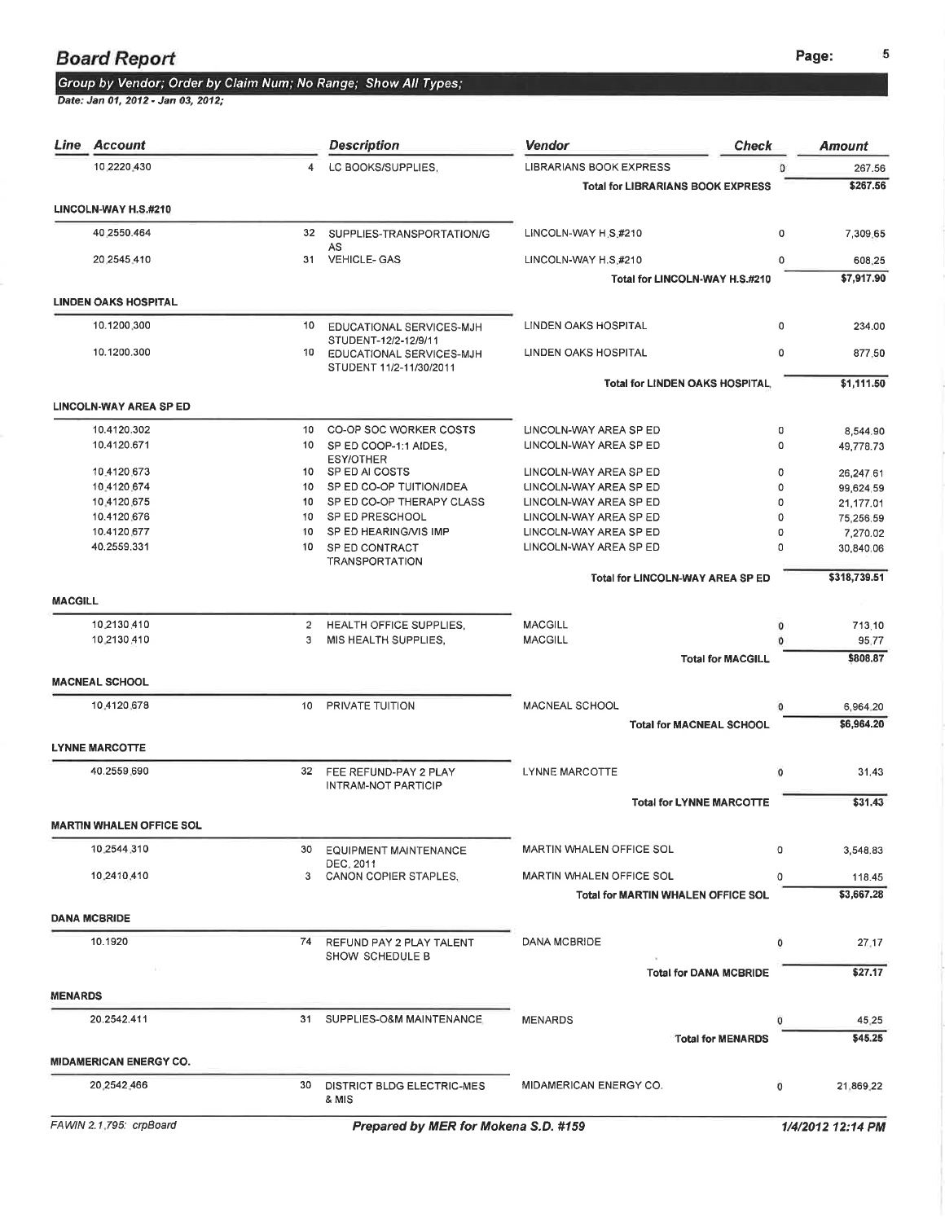### Group by Vendor; Order by Claim Num; No Range; Show All Types;

| <i>Line</i>    | Account                         |                | <b>Description</b>                               | Vendor<br><b>Check</b>                    |          | <b>Amount</b> |
|----------------|---------------------------------|----------------|--------------------------------------------------|-------------------------------------------|----------|---------------|
|                | 10 2220 430                     | 4              | LC BOOKS/SUPPLIES,                               | <b>LIBRARIANS BOOK EXPRESS</b>            | $\Omega$ | 267.56        |
|                |                                 |                |                                                  | <b>Total for LIBRARIANS BOOK EXPRESS</b>  |          | \$267.56      |
|                | LINCOLN-WAY H.S.#210            |                |                                                  |                                           |          |               |
|                | 40,2550.464                     | 32             | SUPPLIES-TRANSPORTATION/G                        | LINCOLN-WAY H.S.#210                      | 0        | 7,309.65      |
|                | 20,2545,410                     | 31             | AS<br><b>VEHICLE-GAS</b>                         | LINCOLN-WAY H.S.#210                      | 0        | 608.25        |
|                |                                 |                |                                                  | Total for LINCOLN-WAY H.S.#210            |          | \$7,917.90    |
|                | <b>LINDEN OAKS HOSPITAL</b>     |                |                                                  |                                           |          |               |
|                | 10.1200.300                     | 10             | EDUCATIONAL SERVICES-MJH                         | <b>LINDEN OAKS HOSPITAL</b>               | 0        | 234.00        |
|                | 10.1200.300                     | 10             | STUDENT-12/2-12/9/11<br>EDUCATIONAL SERVICES-MJH | LINDEN OAKS HOSPITAL                      | 0        | 877.50        |
|                |                                 |                | STUDENT 11/2-11/30/2011                          |                                           |          |               |
|                |                                 |                |                                                  | <b>Total for LINDEN OAKS HOSPITAL</b>     |          | \$1,111.50    |
|                | <b>LINCOLN-WAY AREA SP ED</b>   |                |                                                  |                                           |          |               |
|                | 10.4120.302                     | 10             | CO-OP SOC WORKER COSTS                           | LINCOLN-WAY AREA SP ED                    | 0        | 8,544.90      |
|                | 10.4120.671                     | 10             | SP ED COOP-1:1 AIDES.<br><b>ESY/OTHER</b>        | LINCOLN-WAY AREA SP ED                    | 0        | 49,778.73     |
|                | 10.4120.673                     | 10             | SP ED AI COSTS                                   | LINCOLN-WAY AREA SP ED                    | 0        | 26,247.61     |
|                | 10.4120.674                     | 10             | SP ED CO-OP TUITION/IDEA                         | LINCOLN-WAY AREA SP ED                    | 0        | 99.624.59     |
|                | 10.4120.675                     | 10             | SP ED CO-OP THERAPY CLASS                        | LINCOLN-WAY AREA SP ED                    | 0        | 21,177.01     |
|                | 10.4120.676                     | 10             | SP ED PRESCHOOL                                  | LINCOLN-WAY AREA SP ED                    | 0        | 75,256.59     |
|                | 10.4120.677                     | 10             | SP ED HEARING/VIS IMP                            | LINCOLN-WAY AREA SP ED                    | 0        | 7,270.02      |
|                | 40,2559,331                     | 10             |                                                  | LINCOLN-WAY AREA SP ED                    | 0        |               |
|                |                                 |                | SP ED CONTRACT<br><b>TRANSPORTATION</b>          |                                           |          | 30,840.06     |
|                |                                 |                |                                                  | <b>Total for LINCOLN-WAY AREA SP ED</b>   |          | \$318,739.51  |
| <b>MACGILL</b> |                                 |                |                                                  |                                           |          |               |
|                | 10.2130.410                     | $\overline{2}$ | HEALTH OFFICE SUPPLIES.                          | <b>MACGILL</b>                            | 0        | 713.10        |
|                | 10,2130,410                     | 3              | MIS HEALTH SUPPLIES.                             | <b>MACGILL</b>                            | Ö        | 95.77         |
|                |                                 |                |                                                  | <b>Total for MACGILL</b>                  |          | \$808.87      |
|                | <b>MACNEAL SCHOOL</b>           |                |                                                  |                                           |          |               |
|                | 10.4120.678                     | 10             | PRIVATE TUITION                                  | <b>MACNEAL SCHOOL</b>                     | a        | 6,964.20      |
|                |                                 |                |                                                  | <b>Total for MACNEAL SCHOOL</b>           |          | \$6,964.20    |
|                | <b>LYNNE MARCOTTE</b>           |                |                                                  |                                           |          |               |
|                | 40.2559.690                     | 32             | FEE REFUND-PAY 2 PLAY                            | <b>LYNNE MARCOTTE</b>                     | $\circ$  | 31.43         |
|                |                                 |                | <b>INTRAM-NOT PARTICIP</b>                       | <b>Total for LYNNE MARCOTTE</b>           |          | \$31.43       |
|                | <b>MARTIN WHALEN OFFICE SOL</b> |                |                                                  |                                           |          |               |
|                | 10.2544.310                     | 30             | <b>EQUIPMENT MAINTENANCE</b>                     | MARTIN WHALEN OFFICE SOL                  | 0        | 3.548.83      |
|                |                                 |                | DEC. 2011                                        |                                           |          |               |
|                | 10.2410.410                     | 3              | CANON COPIER STAPLES.                            | MARTIN WHALEN OFFICE SOL                  | 0        | 118.45        |
|                |                                 |                |                                                  | <b>Total for MARTIN WHALEN OFFICE SOL</b> |          | \$3,667.28    |
|                | <b>DANA MCBRIDE</b>             |                |                                                  |                                           |          |               |
|                | 10.1920                         | 74             | REFUND PAY 2 PLAY TALENT<br>SHOW SCHEDULE B      | <b>DANA MCBRIDE</b>                       | ٥        | 27.17         |
|                |                                 |                |                                                  | <b>Total for DANA MCBRIDE</b>             |          | \$27.17       |
| <b>MENARDS</b> |                                 |                |                                                  |                                           |          |               |
|                | 20.2542.411                     |                | 31 SUPPLIES-O&M MAINTENANCE                      | <b>MENARDS</b>                            | 0        | 45.25         |
|                |                                 |                |                                                  | <b>Total for MENARDS</b>                  |          | \$45.25       |
|                | <b>MIDAMERICAN ENERGY CO.</b>   |                |                                                  |                                           |          |               |
|                | 20.2542.466                     | 30             | DISTRICT BLDG ELECTRIC-MES<br>& MIS              | MIDAMERICAN ENERGY CO.                    | 0        | 21,869.22     |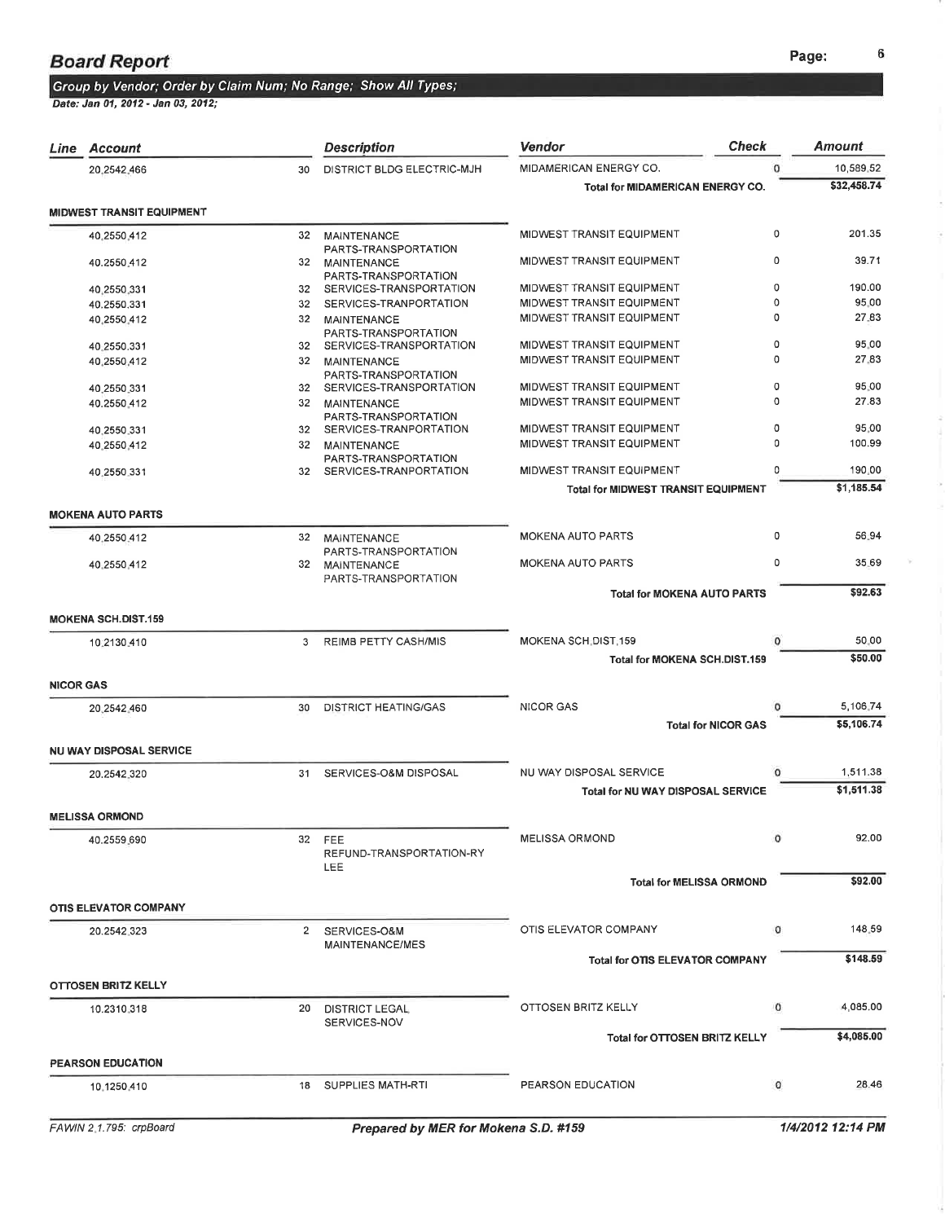#### Group by Vendor; Order by Claim Num; No Range; Show All Types;

|                  | Line Account                     |    | <b>Description</b>                                 | <b>Check</b><br>Vendor                     |          | Amount            |
|------------------|----------------------------------|----|----------------------------------------------------|--------------------------------------------|----------|-------------------|
|                  | 20,2542,466                      | 30 | DISTRICT BLDG ELECTRIC-MJH                         | MIDAMERICAN ENERGY CO.                     |          | 10,589,52         |
|                  |                                  |    |                                                    | Total for MIDAMERICAN ENERGY CO.           |          | \$32,458.74       |
|                  | <b>MIDWEST TRANSIT EQUIPMENT</b> |    |                                                    |                                            |          |                   |
|                  | 40,2550,412                      | 32 | <b>MAINTENANCE</b>                                 | MIDWEST TRANSIT EQUIPMENT                  | 0        | 201.35            |
|                  | 40.2550.412                      | 32 | PARTS-TRANSPORTATION<br>MAINTENANCE                | MIDWEST TRANSIT EQUIPMENT                  | 0        | 39.71             |
|                  | 40,2550,331                      |    | PARTS-TRANSPORTATION<br>32 SERVICES-TRANSPORTATION | MIDWEST TRANSIT EQUIPMENT                  | 0        | 190.00            |
|                  | 40.2550.331                      | 32 | SERVICES-TRANPORTATION                             | MIDWEST TRANSIT EQUIPMENT                  | 0        | 95.00             |
|                  | 40,2550,412                      | 32 | MAINTENANCE<br>PARTS-TRANSPORTATION                | MIDWEST TRANSIT EQUIPMENT                  | 0        | 27.83             |
|                  | 40.2550.331                      |    | 32 SERVICES-TRANSPORTATION                         | MIDWEST TRANSIT EQUIPMENT                  | 0        | 95.00             |
|                  | 40,2550,412                      | 32 | MAINTENANCE<br>PARTS-TRANSPORTATION                | MIDWEST TRANSIT EQUIPMENT                  | 0        | 27.83             |
|                  | 40.2550.331                      | 32 | SERVICES-TRANSPORTATION                            | MIDWEST TRANSIT EQUIPMENT                  | 0<br>0   | 95.00<br>27.83    |
|                  | 40.2550.412                      | 32 | MAINTENANCE<br>PARTS-TRANSPORTATION                | MIDWEST TRANSIT EQUIPMENT                  |          |                   |
|                  | 40.2550.331                      | 32 | SERVICES-TRANPORTATION                             | MIDWEST TRANSIT EQUIPMENT                  | 0        | 95.00             |
|                  | 40.2550.412                      | 32 | <b>MAINTENANCE</b><br>PARTS-TRANSPORTATION         | MIDWEST TRANSIT EQUIPMENT                  | $\Omega$ | 100.99            |
|                  | 40.2550.331                      | 32 | SERVICES-TRANPORTATION                             | MIDWEST TRANSIT EQUIPMENT                  | 0        | 190.00            |
|                  |                                  |    |                                                    | <b>Total for MIDWEST TRANSIT EQUIPMENT</b> |          | \$1,185.54        |
|                  | <b>MOKENA AUTO PARTS</b>         |    |                                                    |                                            |          |                   |
|                  | 40.2550.412                      | 32 | <b>MAINTENANCE</b>                                 | MOKENA AUTO PARTS                          | 0        | 56.94             |
|                  | 40 2550 412                      | 32 | PARTS-TRANSPORTATION<br>MAINTENANCE                | <b>MOKENA AUTO PARTS</b>                   | 0        | 35.69             |
|                  |                                  |    | PARTS-TRANSPORTATION                               | <b>Total for MOKENA AUTO PARTS</b>         |          | \$92.63           |
|                  | <b>MOKENA SCH.DIST.159</b>       |    |                                                    |                                            |          |                   |
|                  |                                  |    |                                                    | MOKENA SCH DIST 159                        | 0        | 50.00             |
|                  | 10:2130.410                      | 3  | <b>REIMB PETTY CASH/MIS</b>                        | <b>Total for MOKENA SCH.DIST.159</b>       |          | \$50.00           |
| <b>NICOR GAS</b> |                                  |    |                                                    |                                            |          |                   |
|                  | 20.2542.460                      | 30 | <b>DISTRICT HEATING/GAS</b>                        | <b>NICOR GAS</b>                           |          | 5,106.74          |
|                  |                                  |    |                                                    | <b>Total for NICOR GAS</b>                 |          | \$5,106.74        |
|                  | <b>NU WAY DISPOSAL SERVICE</b>   |    |                                                    |                                            |          |                   |
|                  | 20.2542.320                      | 31 | SERVICES-O&M DISPOSAL                              | NU WAY DISPOSAL SERVICE                    | 0        | 1,511.38          |
|                  |                                  |    |                                                    | Total for NU WAY DISPOSAL SERVICE          |          | \$1,511.38        |
|                  | <b>MELISSA ORMOND</b>            |    |                                                    |                                            |          |                   |
|                  | 40.2559.690                      |    | 32 FEE<br>REFUND-TRANSPORTATION-RY                 | <b>MELISSA ORMOND</b>                      | $\circ$  | 92.00             |
|                  |                                  |    | LEE                                                | <b>Total for MELISSA ORMOND</b>            |          | \$92.00           |
|                  | <b>OTIS ELEVATOR COMPANY</b>     |    |                                                    |                                            |          |                   |
|                  | 20.2542.323                      |    | 2 SERVICES-O&M                                     | OTIS ELEVATOR COMPANY                      | 0        | 148.59            |
|                  |                                  |    | MAINTENANCE/MES                                    | <b>Total for OTIS ELEVATOR COMPANY</b>     |          | \$148.59          |
|                  | OTTOSEN BRITZ KELLY              |    |                                                    |                                            |          |                   |
|                  | 10.2310.318                      | 20 | <b>DISTRICT LEGAL</b>                              | OTTOSEN BRITZ KELLY                        | $\circ$  | 4,085.00          |
|                  |                                  |    | SERVICES-NOV                                       | Total for OTTOSEN BRITZ KELLY              |          | \$4,085.00        |
|                  |                                  |    |                                                    |                                            |          |                   |
|                  | PEARSON EDUCATION<br>10.1250.410 | 18 | SUPPLIES MATH-RTI                                  | PEARSON EDUCATION                          | $\circ$  | 28.46             |
|                  |                                  |    |                                                    |                                            |          |                   |
|                  | FAWIN 2.1.795: crpBoard          |    | Prepared by MER for Mokena S.D. #159               |                                            |          | 1/4/2012 12:14 PM |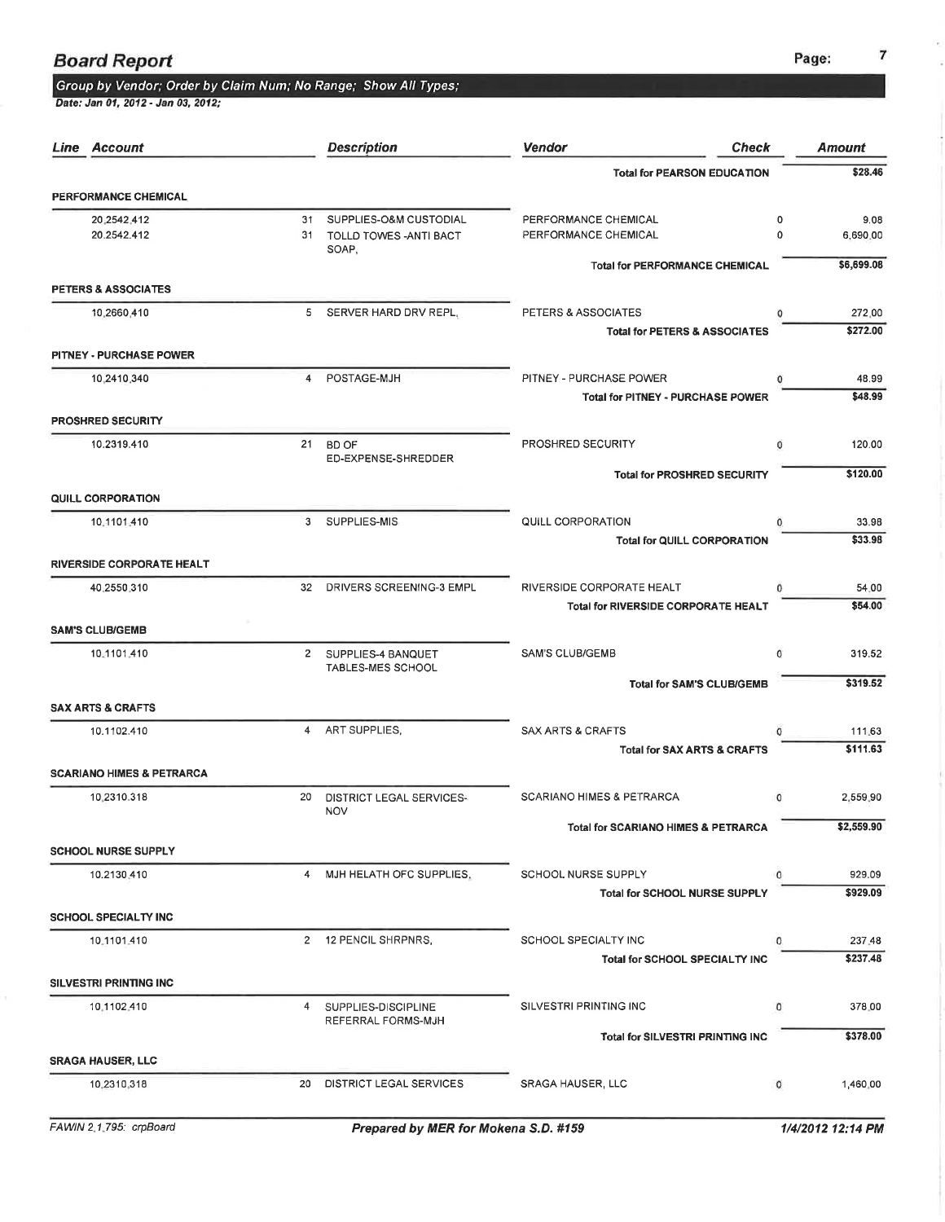#### Group by Vendor; Order by Claim Num: No Range; Show All Types;

| Line Account                         |          | <b>Description</b>                                         | <b>Check</b><br><b>Vendor</b>                                          |        | <b>Amount</b>      |
|--------------------------------------|----------|------------------------------------------------------------|------------------------------------------------------------------------|--------|--------------------|
|                                      |          |                                                            | <b>Total for PEARSON EDUCATION</b>                                     |        | \$28.46            |
| PERFORMANCE CHEMICAL                 |          |                                                            |                                                                        |        |                    |
| 20 2542 412<br>20.2542.412           | 31<br>31 | SUPPLIES-O&M CUSTODIAL<br>TOLLD TOWES - ANTI BACT<br>SOAP, | PERFORMANCE CHEMICAL<br>PERFORMANCE CHEMICAL                           | 0<br>0 | 9.08<br>6,690.00   |
| PETERS & ASSOCIATES                  |          |                                                            | <b>Total for PERFORMANCE CHEMICAL</b>                                  |        | \$6,699.08         |
|                                      |          |                                                            |                                                                        |        |                    |
| 10,2660,410                          |          | 5 SERVER HARD DRV REPL.                                    | PETERS & ASSOCIATES<br><b>Total for PETERS &amp; ASSOCIATES</b>        | 0      | 272.00<br>\$272.00 |
| PITNEY - PURCHASE POWER              |          |                                                            |                                                                        |        |                    |
| 10.2410.340                          | 4        | POSTAGE-MJH                                                | PITNEY - PURCHASE POWER                                                | 0      | 48.99              |
| <b>PROSHRED SECURITY</b>             |          |                                                            | Total for PITNEY - PURCHASE POWER                                      |        | \$48.99            |
| 10.2319.410                          | 21       | BD OF<br>ED-EXPENSE-SHREDDER                               | PROSHRED SECURITY                                                      | 0      | 120.00             |
|                                      |          |                                                            | <b>Total for PROSHRED SECURITY</b>                                     |        | \$120.00           |
| <b>QUILL CORPORATION</b>             |          |                                                            |                                                                        |        |                    |
| 10.1101.410                          |          | 3 SUPPLIES-MIS                                             | QUILL CORPORATION<br><b>Total for QUILL CORPORATION</b>                |        | 33.98<br>\$33.98   |
| <b>RIVERSIDE CORPORATE HEALT</b>     |          |                                                            |                                                                        |        |                    |
| 40,2550,310                          |          | 32 DRIVERS SCREENING-3 EMPL                                | RIVERSIDE CORPORATE HEALT                                              | 0      | 54.00              |
|                                      |          |                                                            | Total for RIVERSIDE CORPORATE HEALT                                    |        | \$54.00            |
| <b>SAM'S CLUB/GEMB</b>               |          |                                                            |                                                                        |        |                    |
| 10.1101.410                          |          | 2 SUPPLIES-4 BANQUET<br><b>TABLES-MES SCHOOL</b>           | SAM'S CLUB/GEMB                                                        | 0      | 319.52             |
|                                      |          |                                                            | <b>Total for SAM'S CLUB/GEMB</b>                                       |        | \$319.52           |
| <b>SAX ARTS &amp; CRAFTS</b>         |          |                                                            |                                                                        |        |                    |
| 10.1102.410                          |          | 4 ART SUPPLIES.                                            | <b>SAX ARTS &amp; CRAFTS</b><br><b>Total for SAX ARTS &amp; CRAFTS</b> | 0      | 111.63<br>\$111.63 |
| <b>SCARIANO HIMES &amp; PETRARCA</b> |          |                                                            |                                                                        |        |                    |
| 10.2310.318                          | 20       | <b>DISTRICT LEGAL SERVICES-</b><br><b>NOV</b>              | <b>SCARIANO HIMES &amp; PETRARCA</b>                                   | 0      | 2,559.90           |
|                                      |          |                                                            | <b>Total for SCARIANO HIMES &amp; PETRARCA</b>                         |        | \$2,559.90         |
| <b>SCHOOL NURSE SUPPLY</b>           |          |                                                            |                                                                        |        |                    |
| 10.2130.410                          |          | 4 MJH HELATH OFC SUPPLIES.                                 | SCHOOL NURSE SUPPLY                                                    | 0      | 929.09             |
| <b>SCHOOL SPECIALTY INC</b>          |          |                                                            | <b>Total for SCHOOL NURSE SUPPLY</b>                                   |        | \$929.09           |
|                                      |          |                                                            | SCHOOL SPECIALTY INC                                                   | 0      | 237.48             |
| 10.1101.410                          |          | 2 12 PENCIL SHRPNRS,                                       | <b>Total for SCHOOL SPECIALTY INC</b>                                  |        | \$237.48           |
| <b>SILVESTRI PRINTING INC.</b>       |          |                                                            |                                                                        |        |                    |
| 10,1102,410                          |          | 4 SUPPLIES-DISCIPLINE                                      | SILVESTRI PRINTING INC                                                 | ٥      | 378.00             |
|                                      |          | REFERRAL FORMS-MJH                                         | <b>Total for SILVESTRI PRINTING INC</b>                                |        | \$378.00           |
| <b>SRAGA HAUSER, LLC</b>             |          |                                                            |                                                                        |        |                    |
| 10-2310-318                          | 20       | DISTRICT LEGAL SERVICES                                    | SRAGA HAUSER, LLC                                                      | 0      | 1,460.00           |
|                                      |          |                                                            |                                                                        |        |                    |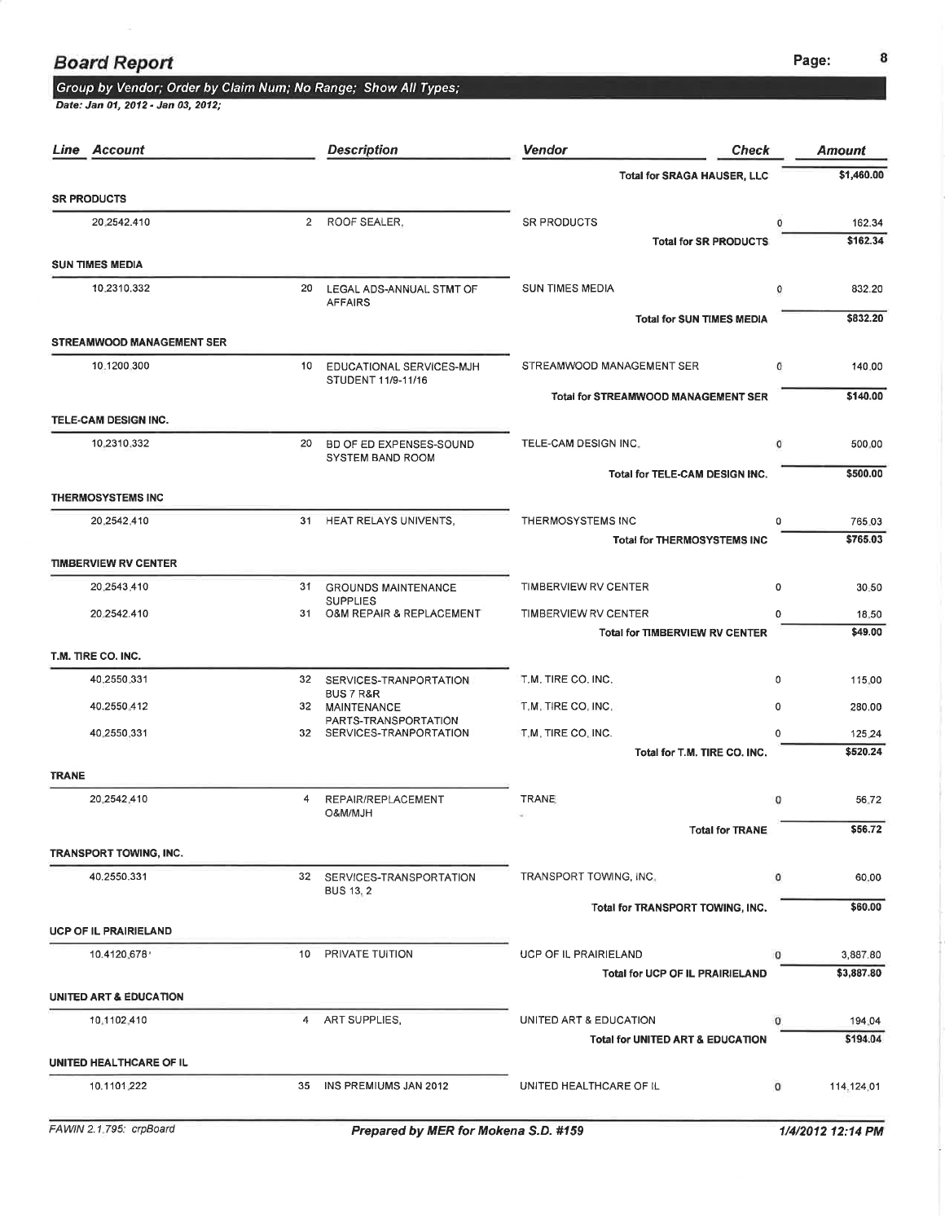### **Board Report**

#### Group by Vendor; Order by Claim Num; No Range; Show All Types;

Date: Jan 01, 2012 - Jan 03, 2012;

| Line Account |                                  | <b>Description</b> | Vendor<br><b>Check</b>                            |                                             | <b>Amount</b> |                    |
|--------------|----------------------------------|--------------------|---------------------------------------------------|---------------------------------------------|---------------|--------------------|
|              |                                  |                    | <b>Total for SRAGA HAUSER, LLC</b>                |                                             | \$1,460.00    |                    |
|              | <b>SR PRODUCTS</b>               |                    |                                                   |                                             |               |                    |
|              | 20.2542.410                      |                    | 2 ROOF SEALER,                                    | <b>SR PRODUCTS</b>                          | o             | 162.34<br>\$162.34 |
|              | <b>SUN TIMES MEDIA</b>           |                    |                                                   | <b>Total for SR PRODUCTS</b>                |               |                    |
|              | 10.2310.332                      | 20                 | LEGAL ADS-ANNUAL STMT OF                          | <b>SUN TIMES MEDIA</b>                      | 0             | 832.20             |
|              |                                  |                    | <b>AFFAIRS</b>                                    | <b>Total for SUN TIMES MEDIA</b>            |               | \$832.20           |
|              | <b>STREAMWOOD MANAGEMENT SER</b> |                    |                                                   |                                             |               |                    |
|              | 10.1200.300                      |                    | 10 EDUCATIONAL SERVICES-MJH<br>STUDENT 11/9-11/16 | STREAMWOOD MANAGEMENT SER                   | 0             | 140.00             |
|              | TELE-CAM DESIGN INC.             |                    |                                                   | Total for STREAMWOOD MANAGEMENT SER         |               | \$140.00           |
|              | 10.2310.332                      | 20                 | BD OF ED EXPENSES-SOUND                           | TELE-CAM DESIGN INC.                        | $^{\circ}$    | 500.00             |
|              |                                  |                    | <b>SYSTEM BAND ROOM</b>                           |                                             |               |                    |
|              | <b>THERMOSYSTEMS INC</b>         |                    |                                                   | Total for TELE-CAM DESIGN INC.              |               | \$500.00           |
|              | 20,2542,410                      | 31                 | HEAT RELAYS UNIVENTS,                             | THERMOSYSTEMS INC                           | 0             | 765.03             |
|              |                                  |                    |                                                   | <b>Total for THERMOSYSTEMS INC</b>          |               | \$765.03           |
|              | <b>TIMBERVIEW RV CENTER</b>      |                    |                                                   |                                             |               |                    |
|              | 20,2543,410                      | 31                 | <b>GROUNDS MAINTENANCE</b>                        | TIMBERVIEW RV CENTER                        | 0             | 30.50              |
|              | 20 2542.410                      | 31                 | <b>SUPPLIES</b><br>O&M REPAIR & REPLACEMENT       | TIMBERVIEW RV CENTER                        | $\Omega$      | 18.50              |
|              |                                  |                    |                                                   | <b>Total for TIMBERVIEW RV CENTER</b>       |               | \$49.00            |
|              | T.M. TIRE CO. INC.               |                    |                                                   |                                             |               |                    |
|              | 40.2550.331                      | 32                 | SERVICES-TRANPORTATION<br>BUS 7 R&R               | T.M. TIRE CO. INC.                          | 0             | 115.00             |
|              | 40.2550.412                      |                    | 32 MAINTENANCE<br>PARTS-TRANSPORTATION            | T.M. TIRE CO. INC.                          | 0             | 280.00             |
|              | 40.2550.331                      |                    | 32 SERVICES-TRANPORTATION                         | T.M. TIRE CO. INC.                          | $\Omega$      | 125.24             |
|              |                                  |                    |                                                   | Total for T.M. TIRE CO. INC.                |               | \$520.24           |
| <b>TRANE</b> |                                  |                    |                                                   |                                             |               |                    |
|              | 20.2542.410                      | 4                  | REPAIR/REPLACEMENT<br>O&M/MJH                     | <b>TRANE</b>                                | $\circ$       | 56.72              |
|              |                                  |                    |                                                   | Total for TRANE                             |               | \$56.72            |
|              | <b>TRANSPORT TOWING, INC.</b>    |                    |                                                   |                                             |               |                    |
|              | 40.2550.331                      |                    | 32 SERVICES-TRANSPORTATION<br><b>BUS 13, 2</b>    | TRANSPORT TOWING, INC.                      | $\mathbf{0}$  | 60.00              |
|              |                                  |                    |                                                   | Total for TRANSPORT TOWING, INC.            |               | \$60.00            |
|              | <b>UCP OF IL PRAIRIELAND</b>     |                    |                                                   |                                             |               |                    |
|              | 10.4120.678                      | 10                 | PRIVATE TUITION                                   | UCP OF IL PRAIRIELAND                       | $\Omega$      | 3,887.80           |
|              | UNITED ART & EDUCATION           |                    |                                                   | <b>Total for UCP OF IL PRAIRIELAND</b>      |               | \$3,887.80         |
|              | 10.1102.410                      | 4                  | ART SUPPLIES,                                     | UNITED ART & EDUCATION                      | 0             |                    |
|              |                                  |                    |                                                   | <b>Total for UNITED ART &amp; EDUCATION</b> |               | 194.04<br>\$194.04 |
|              | UNITED HEALTHCARE OF IL          |                    |                                                   |                                             |               |                    |
|              | 10.1101.222                      | 35                 | INS PREMIUMS JAN 2012                             | UNITED HEALTHCARE OF IL                     | 0             | 114,124,01         |
|              |                                  |                    |                                                   |                                             |               |                    |

1/4/2012 12:14 PM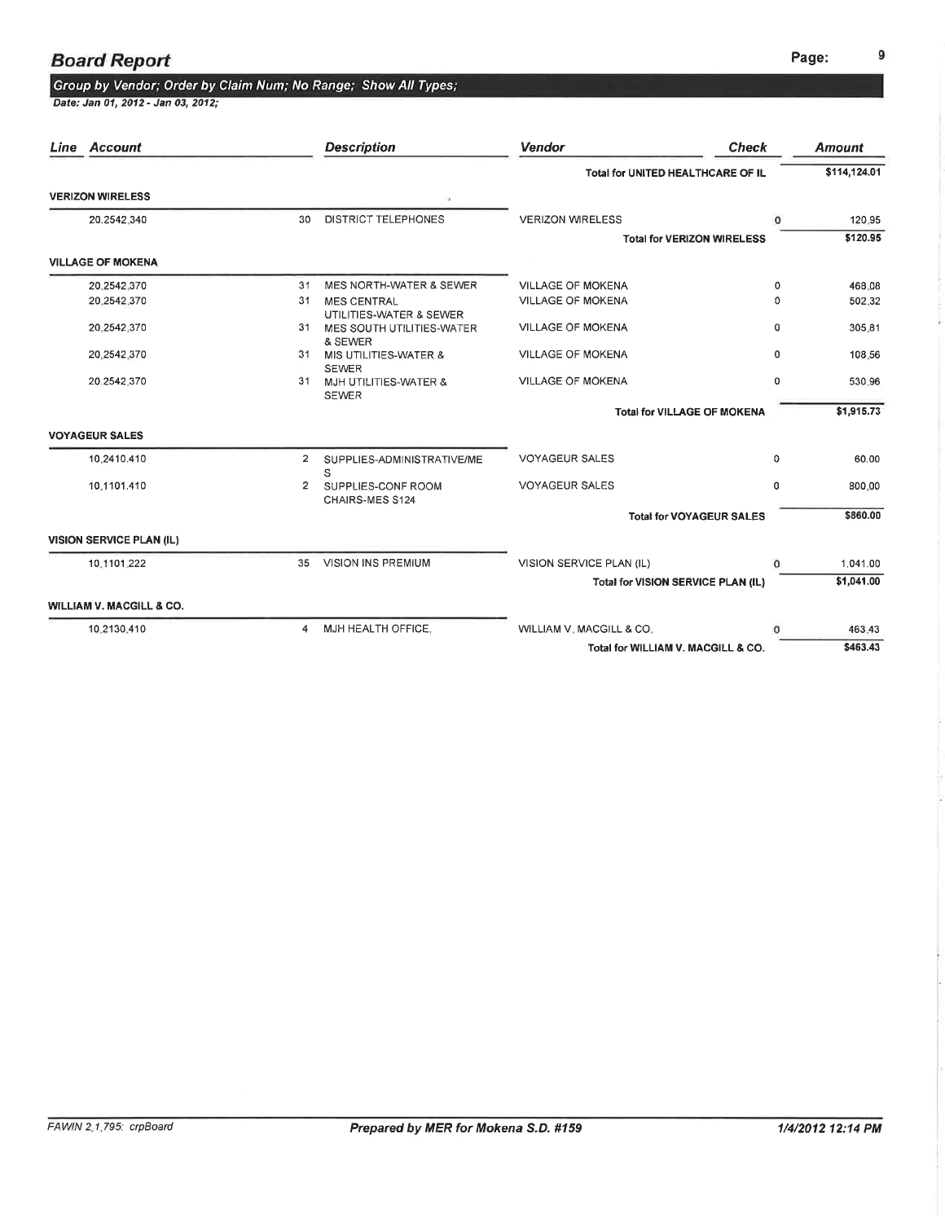## Group by Vendor; Order by Claim Num; No Range; Show All Types;<br>Date: Jan 01, 2012- Jan 03, 2012;

| Line Account                    |                | <b>Description</b>                                              | <b>Vendor</b>                      | <b>Check</b>                       | <b>Amount</b> |
|---------------------------------|----------------|-----------------------------------------------------------------|------------------------------------|------------------------------------|---------------|
|                                 |                |                                                                 | Total for UNITED HEALTHCARE OF IL  |                                    | \$114,124.01  |
| <b>VERIZON WIRELESS</b>         |                | 7a                                                              |                                    |                                    |               |
| 20.2542.340                     | 30             | DISTRICT TELEPHONES                                             | <b>VERIZON WIRELESS</b>            | $\Omega$                           | 120:95        |
|                                 |                |                                                                 |                                    | <b>Total for VERIZON WIRELESS</b>  | \$120.95      |
| <b>VILLAGE OF MOKENA</b>        |                |                                                                 |                                    |                                    |               |
| 20.2542.370                     | 31             | MES NORTH-WATER & SEWER                                         | <b>VILLAGE OF MOKENA</b>           | 0                                  | 468.08        |
| 20.2542.370                     | 31             | <b>MES CENTRAL</b>                                              | <b>VILLAGE OF MOKENA</b>           | 0                                  | 502.32        |
| 20.2542.370                     | 31             | UTILITIES-WATER & SEWER<br>MES SOUTH UTILITIES-WATER<br>& SEWER | <b>VILLAGE OF MOKENA</b>           | 0                                  | 305.81        |
| 20.2542.370                     | 31             | MIS UTILITIES-WATER &                                           | <b>VILLAGE OF MOKENA</b>           | 0                                  | 108.56        |
| 20.2542.370                     | 31             | <b>SEWER</b><br>MJH UTILITIES-WATER &<br><b>SEWER</b>           | <b>VILLAGE OF MOKENA</b>           | $\Omega$                           | 530.96        |
|                                 |                |                                                                 |                                    | <b>Total for VILLAGE OF MOKENA</b> | \$1,915.73    |
| <b>VOYAGEUR SALES</b>           |                |                                                                 |                                    |                                    |               |
| 10.2410.410                     | $\overline{2}$ | SUPPLIES-ADMINISTRATIVE/ME<br>S                                 | <b>VOYAGEUR SALES</b>              | 0                                  | 60.00         |
| 10.1101.410                     | $\mathbf{2}$   | SUPPLIES-CONF ROOM<br>CHAIRS-MES S124                           | <b>VOYAGEUR SALES</b>              | 0                                  | 800.00        |
|                                 |                |                                                                 |                                    | <b>Total for VOYAGEUR SALES</b>    | \$860.00      |
| <b>VISION SERVICE PLAN (IL)</b> |                |                                                                 |                                    |                                    |               |
| 10.1101.222                     | 35             | <b>VISION INS PREMIUM</b>                                       | VISION SERVICE PLAN (IL)           | $^{\circ}$                         | 1,041.00      |
|                                 |                |                                                                 | Total for VISION SERVICE PLAN (IL) |                                    | \$1,041.00    |
| WILLIAM V. MACGILL & CO.        |                |                                                                 |                                    |                                    |               |
| 10.2130.410                     | $\overline{4}$ | MJH HEALTH OFFICE.                                              | WILLIAM V. MACGILL & CO.           | $\Omega$                           | 463.43        |
|                                 |                |                                                                 | Total for WILLIAM V. MACGILL & CO. |                                    | \$463.43      |